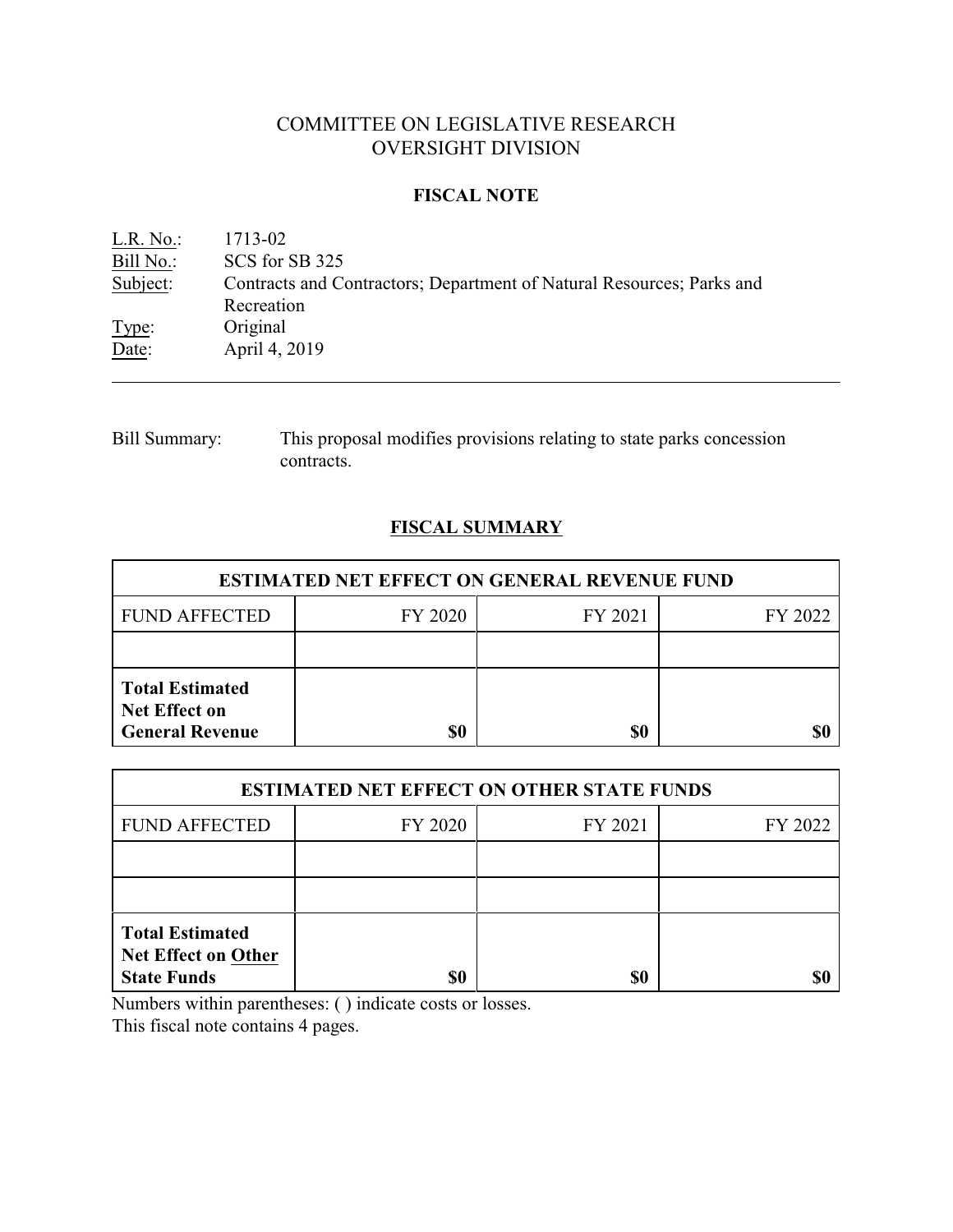# COMMITTEE ON LEGISLATIVE RESEARCH OVERSIGHT DIVISION

### **FISCAL NOTE**

| $L.R. No.$ : | 1713-02                                                               |
|--------------|-----------------------------------------------------------------------|
| Bill No.:    | SCS for SB 325                                                        |
| Subject:     | Contracts and Contractors; Department of Natural Resources; Parks and |
|              | Recreation                                                            |
| Type:        | Original                                                              |
| Date:        | April 4, 2019                                                         |
|              |                                                                       |

Bill Summary: This proposal modifies provisions relating to state parks concession contracts.

## **FISCAL SUMMARY**

| <b>ESTIMATED NET EFFECT ON GENERAL REVENUE FUND</b>                      |         |         |         |  |
|--------------------------------------------------------------------------|---------|---------|---------|--|
| <b>FUND AFFECTED</b>                                                     | FY 2020 | FY 2021 | FY 2022 |  |
|                                                                          |         |         |         |  |
| <b>Total Estimated</b><br><b>Net Effect on</b><br><b>General Revenue</b> | \$0     | \$0     |         |  |

| <b>ESTIMATED NET EFFECT ON OTHER STATE FUNDS</b>                           |         |         |         |  |
|----------------------------------------------------------------------------|---------|---------|---------|--|
| <b>FUND AFFECTED</b>                                                       | FY 2020 | FY 2021 | FY 2022 |  |
|                                                                            |         |         |         |  |
|                                                                            |         |         |         |  |
| <b>Total Estimated</b><br><b>Net Effect on Other</b><br><b>State Funds</b> | \$0     | \$0     |         |  |

Numbers within parentheses: ( ) indicate costs or losses.

This fiscal note contains 4 pages.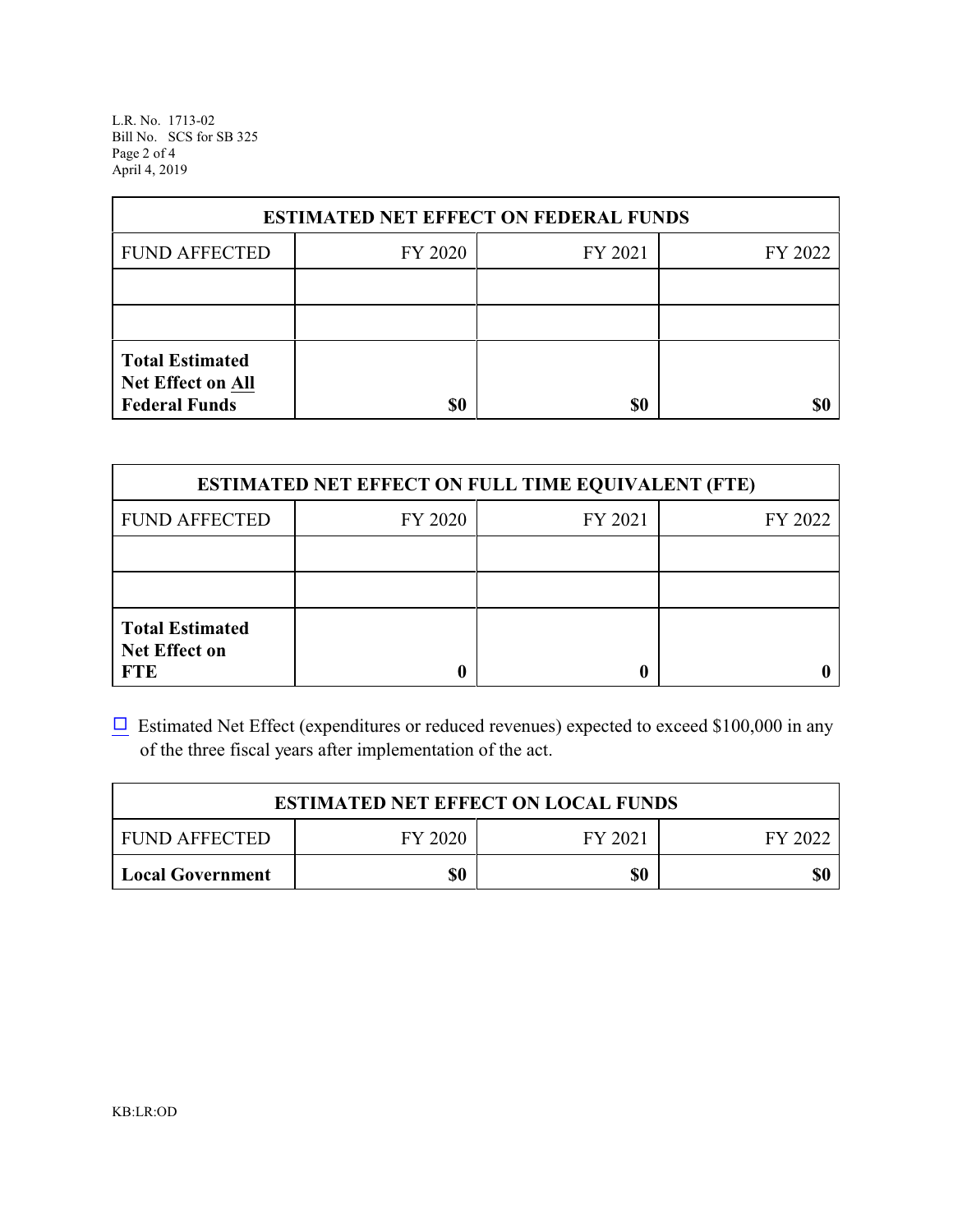L.R. No. 1713-02 Bill No. SCS for SB 325 Page 2 of 4 April 4, 2019

| <b>ESTIMATED NET EFFECT ON FEDERAL FUNDS</b>                        |         |         |         |  |
|---------------------------------------------------------------------|---------|---------|---------|--|
| <b>FUND AFFECTED</b>                                                | FY 2020 | FY 2021 | FY 2022 |  |
|                                                                     |         |         |         |  |
|                                                                     |         |         |         |  |
| <b>Total Estimated</b><br>Net Effect on All<br><b>Federal Funds</b> | \$0     | \$0     |         |  |

| <b>ESTIMATED NET EFFECT ON FULL TIME EQUIVALENT (FTE)</b>    |         |         |         |  |
|--------------------------------------------------------------|---------|---------|---------|--|
| <b>FUND AFFECTED</b>                                         | FY 2020 | FY 2021 | FY 2022 |  |
|                                                              |         |         |         |  |
|                                                              |         |         |         |  |
| <b>Total Estimated</b><br><b>Net Effect on</b><br><b>FTE</b> |         |         |         |  |

 $\Box$  Estimated Net Effect (expenditures or reduced revenues) expected to exceed \$100,000 in any of the three fiscal years after implementation of the act.

| <b>ESTIMATED NET EFFECT ON LOCAL FUNDS</b> |         |         |         |  |
|--------------------------------------------|---------|---------|---------|--|
| <b>FUND AFFECTED</b>                       | FY 2020 | FY 2021 | FY 2022 |  |
| <b>Local Government</b>                    | \$0     | \$0     | \$0     |  |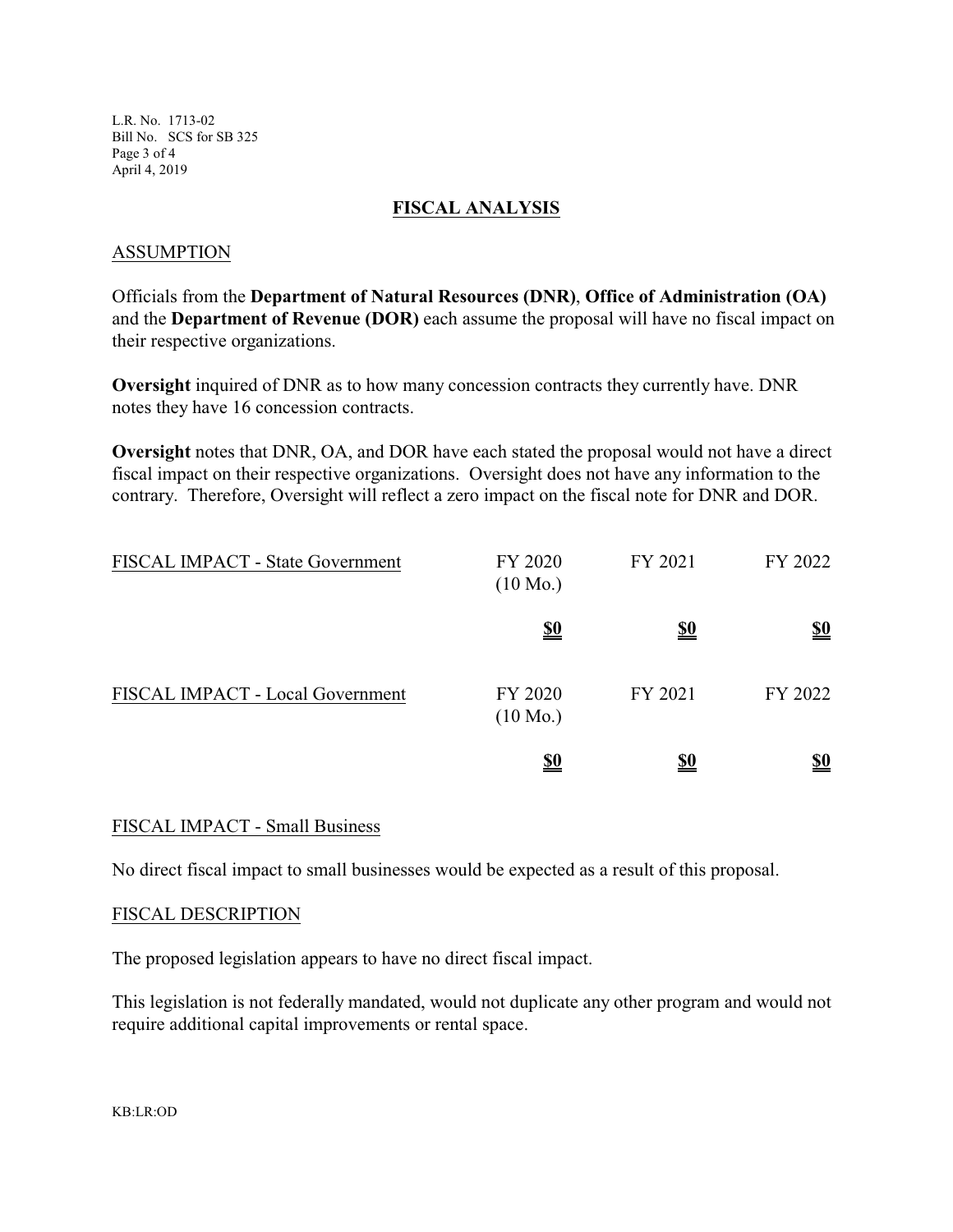L.R. No. 1713-02 Bill No. SCS for SB 325 Page 3 of 4 April 4, 2019

#### **FISCAL ANALYSIS**

#### ASSUMPTION

Officials from the **Department of Natural Resources (DNR)**, **Office of Administration (OA)** and the **Department of Revenue (DOR)** each assume the proposal will have no fiscal impact on their respective organizations.

**Oversight** inquired of DNR as to how many concession contracts they currently have. DNR notes they have 16 concession contracts.

**Oversight** notes that DNR, OA, and DOR have each stated the proposal would not have a direct fiscal impact on their respective organizations. Oversight does not have any information to the contrary. Therefore, Oversight will reflect a zero impact on the fiscal note for DNR and DOR.

| FISCAL IMPACT - State Government | FY 2020<br>$(10 \text{ Mo.})$ | FY 2021    | FY 2022    |
|----------------------------------|-------------------------------|------------|------------|
|                                  | <u>\$0</u>                    | <u>\$0</u> | <u>\$0</u> |
| FISCAL IMPACT - Local Government | FY 2020<br>$(10 \text{ Mo.})$ | FY 2021    | FY 2022    |
|                                  | <u>\$0</u>                    | <u>\$0</u> | <u>\$0</u> |

#### FISCAL IMPACT - Small Business

No direct fiscal impact to small businesses would be expected as a result of this proposal.

#### FISCAL DESCRIPTION

The proposed legislation appears to have no direct fiscal impact.

This legislation is not federally mandated, would not duplicate any other program and would not require additional capital improvements or rental space.